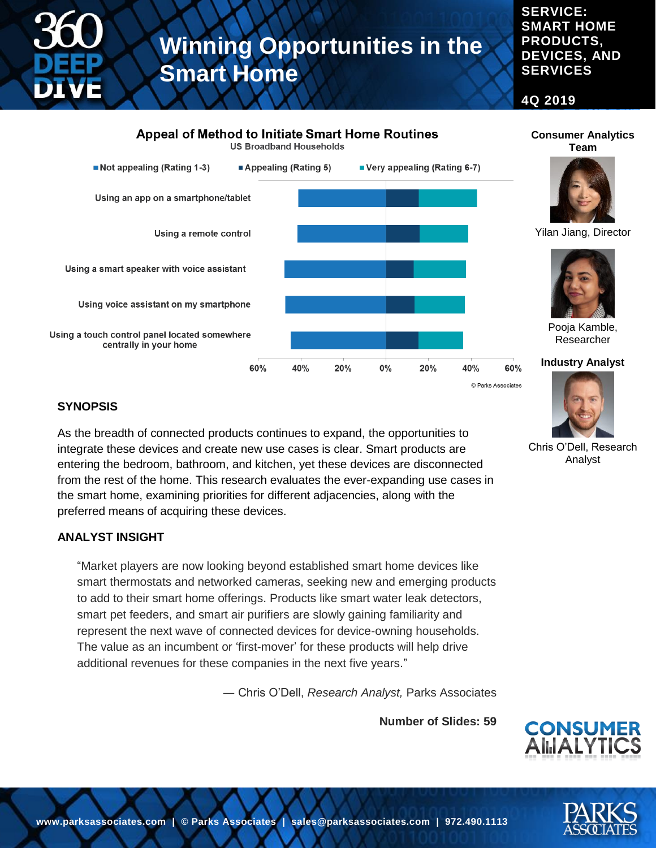#### **SERVICE: SMART HOME PRODUCTS, DEVICES, AND SERVICES**

**Consumer Analytics Team**

**4Q 2019**

### **Appeal of Method to Initiate Smart Home Routines**

**US Broadband Households** 



#### **SYNOPSIS**

As the breadth of connected products continues to expand, the opportunities to integrate these devices and create new use cases is clear. Smart products are entering the bedroom, bathroom, and kitchen, yet these devices are disconnected from the rest of the home. This research evaluates the ever-expanding use cases in the smart home, examining priorities for different adjacencies, along with the preferred means of acquiring these devices.

#### **ANALYST INSIGHT**

"Market players are now looking beyond established smart home devices like smart thermostats and networked cameras, seeking new and emerging products to add to their smart home offerings. Products like smart water leak detectors, smart pet feeders, and smart air purifiers are slowly gaining familiarity and represent the next wave of connected devices for device-owning households. The value as an incumbent or 'first-mover' for these products will help drive additional revenues for these companies in the next five years."

― Chris O'Dell, *Research Analyst,* Parks Associates

**Number of Slides: 59**



Chris O'Dell, Research Analyst

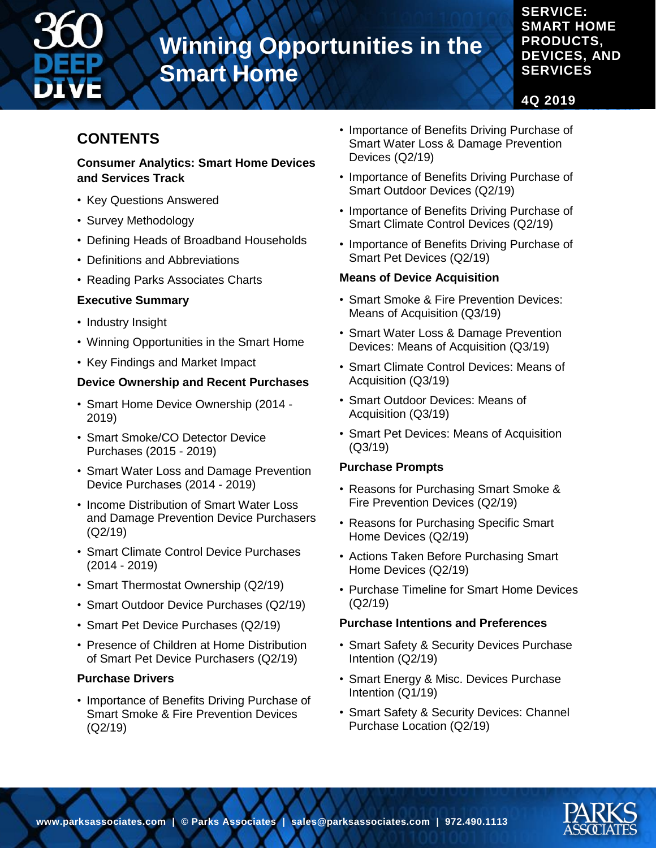

#### **SERVICE: SMART HOME PRODUCTS, DEVICES, AND SERVICES**

**4Q 2019**

# **CONTENTS**

#### **Consumer Analytics: Smart Home Devices and Services Track**

- Key Questions Answered
- Survey Methodology
- Defining Heads of Broadband Households
- Definitions and Abbreviations
- Reading Parks Associates Charts

### **Executive Summary**

- Industry Insight
- Winning Opportunities in the Smart Home
- Key Findings and Market Impact

### **Device Ownership and Recent Purchases**

- Smart Home Device Ownership (2014 2019)
- Smart Smoke/CO Detector Device Purchases (2015 - 2019)
- Smart Water Loss and Damage Prevention Device Purchases (2014 - 2019)
- Income Distribution of Smart Water Loss and Damage Prevention Device Purchasers (Q2/19)
- Smart Climate Control Device Purchases (2014 - 2019)
- Smart Thermostat Ownership (Q2/19)
- Smart Outdoor Device Purchases (Q2/19)
- Smart Pet Device Purchases (Q2/19)
- Presence of Children at Home Distribution of Smart Pet Device Purchasers (Q2/19)

### **Purchase Drivers**

• Importance of Benefits Driving Purchase of Smart Smoke & Fire Prevention Devices (Q2/19)

- Importance of Benefits Driving Purchase of Smart Water Loss & Damage Prevention Devices (Q2/19)
- Importance of Benefits Driving Purchase of Smart Outdoor Devices (Q2/19)
- Importance of Benefits Driving Purchase of Smart Climate Control Devices (Q2/19)
- Importance of Benefits Driving Purchase of Smart Pet Devices (Q2/19)

#### **Means of Device Acquisition**

- Smart Smoke & Fire Prevention Devices: Means of Acquisition (Q3/19)
- Smart Water Loss & Damage Prevention Devices: Means of Acquisition (Q3/19)
- Smart Climate Control Devices: Means of Acquisition (Q3/19)
- Smart Outdoor Devices: Means of Acquisition (Q3/19)
- Smart Pet Devices: Means of Acquisition (Q3/19)

### **Purchase Prompts**

- Reasons for Purchasing Smart Smoke & Fire Prevention Devices (Q2/19)
- Reasons for Purchasing Specific Smart Home Devices (Q2/19)
- Actions Taken Before Purchasing Smart Home Devices (Q2/19)
- Purchase Timeline for Smart Home Devices (Q2/19)

### **Purchase Intentions and Preferences**

- Smart Safety & Security Devices Purchase Intention (Q2/19)
- Smart Energy & Misc. Devices Purchase Intention (Q1/19)
- Smart Safety & Security Devices: Channel Purchase Location (Q2/19)

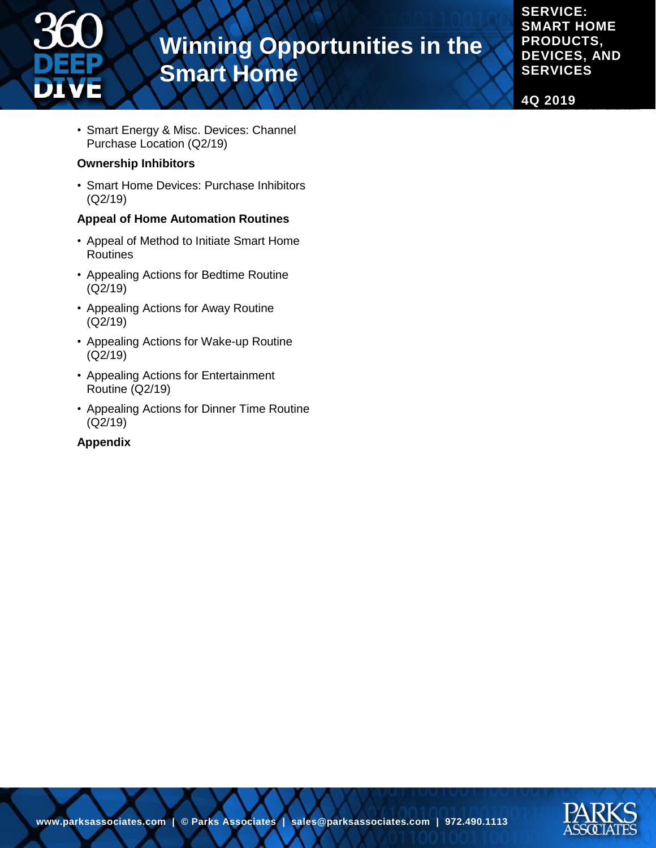

**SERVICE: SMART HOME PRODUCTS, DEVICES, AND SERVICES**

**4Q 2019**

• Smart Energy & Misc. Devices: Channel Purchase Location (Q2/19)

#### **Ownership Inhibitors**

• Smart Home Devices: Purchase Inhibitors (Q2/19)

#### **Appeal of Home Automation Routines**

- Appeal of Method to Initiate Smart Home Routines
- Appealing Actions for Bedtime Routine (Q2/19)
- Appealing Actions for Away Routine (Q2/19)
- Appealing Actions for Wake-up Routine (Q2/19)
- Appealing Actions for Entertainment Routine (Q2/19)
- Appealing Actions for Dinner Time Routine (Q2/19)

#### **Appendix**